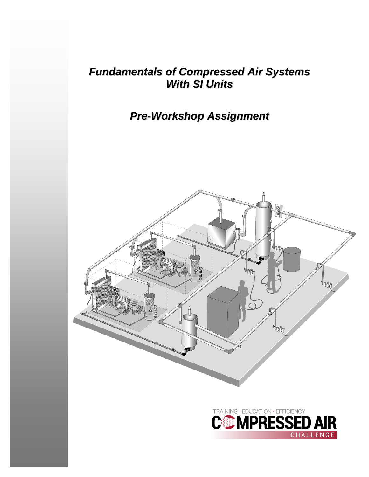## *Fundamentals of Compressed Air Systems With SI Units*

# *Pre-Workshop Assignment*

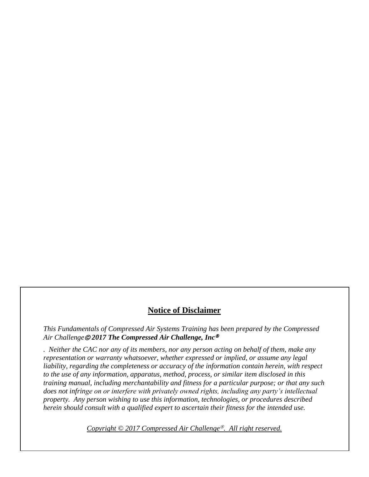#### **Notice of Disclaimer**

*This Fundamentals of Compressed Air Systems Training has been prepared by the Compressed Air Challenge 2017 The Compressed Air Challenge, Inc*

*. Neither the CAC nor any of its members, nor any person acting on behalf of them, make any representation or warranty whatsoever, whether expressed or implied, or assume any legal*  liability, regarding the completeness or accuracy of the information contain herein, with respect *to the use of any information, apparatus, method, process, or similar item disclosed in this training manual, including merchantability and fitness for a particular purpose; or that any such does not infringe on or interfere with privately owned rights, including any party's intellectual property. Any person wishing to use this information, technologies, or procedures described herein should consult with a qualified expert to ascertain their fitness for the intended use.*

*Copyright* © 2017 *Compressed Air Challenge<sup>®</sup>. All right reserved.*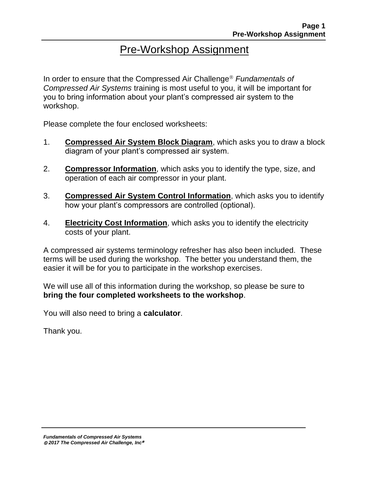## Pre-Workshop Assignment

In order to ensure that the Compressed Air Challenge<sup>®</sup> Fundamentals of *Compressed Air Systems* training is most useful to you, it will be important for you to bring information about your plant's compressed air system to the workshop.

Please complete the four enclosed worksheets:

- 1. **Compressed Air System Block Diagram**, which asks you to draw a block diagram of your plant's compressed air system.
- 2. **Compressor Information**, which asks you to identify the type, size, and operation of each air compressor in your plant.
- 3. **Compressed Air System Control Information**, which asks you to identify how your plant's compressors are controlled (optional).
- 4. **Electricity Cost Information**, which asks you to identify the electricity costs of your plant.

A compressed air systems terminology refresher has also been included. These terms will be used during the workshop. The better you understand them, the easier it will be for you to participate in the workshop exercises.

We will use all of this information during the workshop, so please be sure to **bring the four completed worksheets to the workshop**.

You will also need to bring a **calculator**.

Thank you.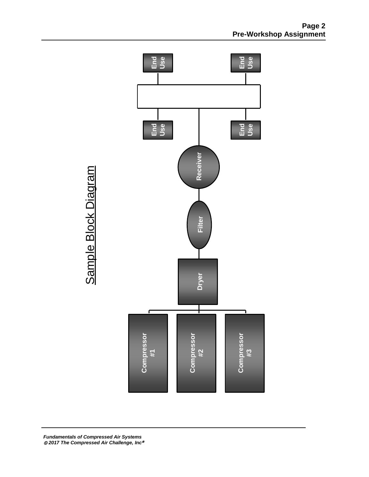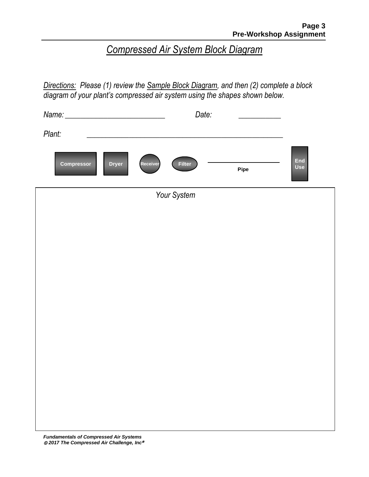# *Compressed Air System Block Diagram*

*Directions: Please (1) review the Sample Block Diagram, and then (2) complete a block diagram of your plant's compressed air system using the shapes shown below.*

|                            | Date:                     |      |            |
|----------------------------|---------------------------|------|------------|
| Plant:                     |                           |      |            |
| Compressor<br><b>Dryer</b> | <b>Filter</b><br>Receiver | Pipe | End<br>Use |
|                            | Your System               |      |            |
|                            |                           |      |            |
|                            |                           |      |            |
|                            |                           |      |            |
|                            |                           |      |            |
|                            |                           |      |            |
|                            |                           |      |            |
|                            |                           |      |            |
|                            |                           |      |            |
|                            |                           |      |            |
|                            |                           |      |            |
|                            |                           |      |            |
|                            |                           |      |            |
|                            |                           |      |            |
|                            |                           |      |            |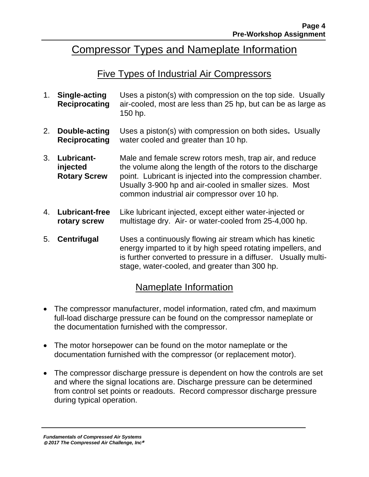### Compressor Types and Nameplate Information

#### Five Types of Industrial Air Compressors

- 1. **Single-acting Reciprocating** Uses a piston(s) with compression on the top side. Usually air-cooled, most are less than 25 hp, but can be as large as 150 hp.
- 2. **Double-acting Reciprocating** Uses a piston(s) with compression on both sides**.** Usually water cooled and greater than 10 hp.
- 3. **Lubricantinjected Rotary Screw** Male and female screw rotors mesh, trap air, and reduce the volume along the length of the rotors to the discharge point. Lubricant is injected into the compression chamber. Usually 3-900 hp and air-cooled in smaller sizes. Most common industrial air compressor over 10 hp.
- 4. **Lubricant-free rotary screw** Like lubricant injected, except either water-injected or multistage dry. Air- or water-cooled from 25-4,000 hp.
- 5. **Centrifugal** Uses a continuously flowing air stream which has kinetic energy imparted to it by high speed rotating impellers, and is further converted to pressure in a diffuser. Usually multistage, water-cooled, and greater than 300 hp.

#### Nameplate Information

- The compressor manufacturer, model information, rated cfm, and maximum full-load discharge pressure can be found on the compressor nameplate or the documentation furnished with the compressor.
- The motor horsepower can be found on the motor nameplate or the documentation furnished with the compressor (or replacement motor).
- The compressor discharge pressure is dependent on how the controls are set and where the signal locations are. Discharge pressure can be determined from control set points or readouts. Record compressor discharge pressure during typical operation.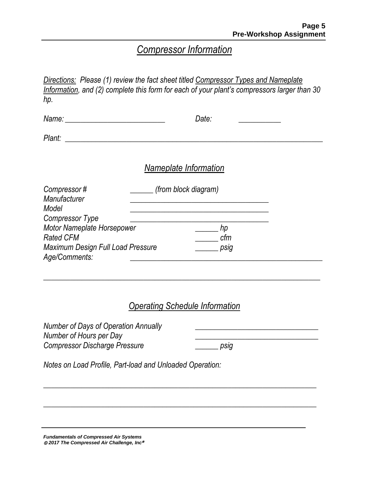### *Compressor Information*

*Directions: Please (1) review the fact sheet titled Compressor Types and Nameplate Information, and (2) complete this form for each of your plant's compressors larger than 30 hp.*

| Date:                 |  |
|-----------------------|--|
|                       |  |
| Nameplate Information |  |

| Compressor#                       | (from block diagram) |  |
|-----------------------------------|----------------------|--|
| Manufacturer                      |                      |  |
| Model                             |                      |  |
| <b>Compressor Type</b>            |                      |  |
| Motor Nameplate Horsepower        | hp                   |  |
| <b>Rated CFM</b>                  | cfm                  |  |
| Maximum Design Full Load Pressure | psig                 |  |
| Age/Comments:                     |                      |  |

#### *Operating Schedule Information*

*\_\_\_\_\_\_\_\_\_\_\_\_\_\_\_\_\_\_\_\_\_\_\_\_\_\_\_\_\_\_\_\_\_\_\_\_\_\_\_\_\_\_\_\_\_\_\_\_\_\_\_\_\_\_\_\_\_\_\_\_\_\_\_\_\_\_\_\_\_\_\_*

*\_\_\_\_\_\_\_\_\_\_\_\_\_\_\_\_\_\_\_\_\_\_\_\_\_\_\_\_\_\_\_\_\_\_\_\_\_\_\_\_\_\_\_\_\_\_\_\_\_\_\_\_\_\_\_\_\_\_\_\_\_\_\_\_\_\_\_\_\_\_\_*

*\_\_\_\_\_\_\_\_\_\_\_\_\_\_\_\_\_\_\_\_\_\_\_\_\_\_\_\_\_\_\_\_\_\_\_\_\_\_\_\_\_\_\_\_\_\_\_\_\_\_\_\_\_\_\_\_\_\_\_\_\_\_\_\_\_\_\_\_\_\_\_\_*

*Number of Days of Operation Annually \_\_\_\_\_\_\_\_\_\_\_\_\_\_\_\_\_\_\_\_\_\_\_\_\_\_\_\_\_\_\_\_ Number of Hours per Day \_\_\_\_\_\_\_\_\_\_\_\_\_\_\_\_\_\_\_\_\_\_\_\_\_\_\_\_\_\_\_\_ Compressor Discharge Pressure \_\_\_\_\_\_ psig*

*Notes on Load Profile, Part-load and Unloaded Operation:*

*Fundamentals of Compressed Air Systems 2017 The Compressed Air Challenge, Inc*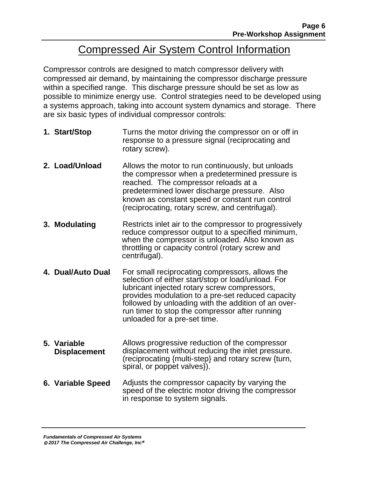## Compressed Air System Control Information

Compressor controls are designed to match compressor delivery with compressed air demand, by maintaining the compressor discharge pressure within a specified range. This discharge pressure should be set as low as possible to minimize energy use. Control strategies need to be developed using a systems approach, taking into account system dynamics and storage. There are six basic types of individual compressor controls:

- **1. Start/Stop** Turns the motor driving the compressor on or off in response to a pressure signal (reciprocating and rotary screw).
- **2. Load/Unload** Allows the motor to run continuously, but unloads the compressor when a predetermined pressure is reached. The compressor reloads at a predetermined lower discharge pressure. Also known as constant speed or constant run control (reciprocating, rotary screw, and centrifugal).
- **3. Modulating** Restricts inlet air to the compressor to progressively reduce compressor output to a specified minimum, when the compressor is unloaded. Also known as throttling or capacity control (rotary screw and centrifugal).
- **4. Dual/Auto Dual** For small reciprocating compressors, allows the selection of either start/stop or load/unload. For lubricant injected rotary screw compressors, provides modulation to a pre-set reduced capacity followed by unloading with the addition of an overrun timer to stop the compressor after running unloaded for a pre-set time.
- **5. Variable Displacement** Allows progressive reduction of the compressor displacement without reducing the inlet pressure. (reciprocating {multi-step} and rotary screw {turn, spiral, or poppet valves}).
- **6. Variable Speed** Adjusts the compressor capacity by varying the speed of the electric motor driving the compressor in response to system signals.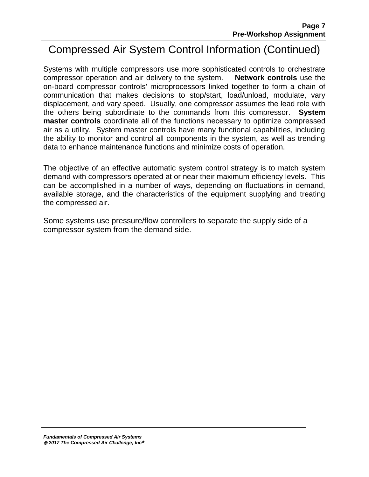## Compressed Air System Control Information (Continued)

Systems with multiple compressors use more sophisticated controls to orchestrate compressor operation and air delivery to the system. **Network controls** use the on-board compressor controls' microprocessors linked together to form a chain of communication that makes decisions to stop/start, load/unload, modulate, vary displacement, and vary speed. Usually, one compressor assumes the lead role with the others being subordinate to the commands from this compressor. **System master controls** coordinate all of the functions necessary to optimize compressed air as a utility. System master controls have many functional capabilities, including the ability to monitor and control all components in the system, as well as trending data to enhance maintenance functions and minimize costs of operation.

The objective of an effective automatic system control strategy is to match system demand with compressors operated at or near their maximum efficiency levels. This can be accomplished in a number of ways, depending on fluctuations in demand, available storage, and the characteristics of the equipment supplying and treating the compressed air.

Some systems use pressure/flow controllers to separate the supply side of a compressor system from the demand side.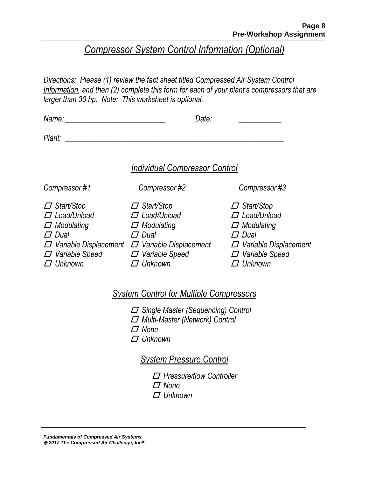### *Compressor System Control Information (Optional)*

*Directions: Please (1) review the fact sheet titled Compressed Air System Control Information, and then (2) complete this form for each of your plant's compressors that are larger than 30 hp. Note: This worksheet is optional.*

| Name:                                                                                                                                                  | Date:                                                                                                                                                  |                                                                                                                                                        |  |
|--------------------------------------------------------------------------------------------------------------------------------------------------------|--------------------------------------------------------------------------------------------------------------------------------------------------------|--------------------------------------------------------------------------------------------------------------------------------------------------------|--|
| Plant:                                                                                                                                                 |                                                                                                                                                        |                                                                                                                                                        |  |
|                                                                                                                                                        | <b>Individual Compressor Control</b>                                                                                                                   |                                                                                                                                                        |  |
| Compressor#1                                                                                                                                           | Compressor#2                                                                                                                                           | Compressor#3                                                                                                                                           |  |
| $\Box$ Start/Stop<br>$\Box$ Load/Unload<br>$\Box$ Modulating<br>$\Box$ Dual<br>$\Box$ Variable Displacement<br>$\Box$ Variable Speed<br>$\Box$ Unknown | $\Box$ Start/Stop<br>$\Box$ Load/Unload<br>$\Box$ Modulating<br>$\Box$ Dual<br>$\Box$ Variable Displacement<br>$\Box$ Variable Speed<br>$\Box$ Unknown | $\Box$ Start/Stop<br>$\Box$ Load/Unload<br>$\Box$ Modulating<br>$\Box$ Dual<br>$\Box$ Variable Displacement<br>$\Box$ Variable Speed<br>$\Box$ Unknown |  |

#### *System Control for Multiple Compressors*

- *Single Master (Sequencing) Control*
- *Multi-Master (Network) Control*
- *None*
- *Unknown*

#### *System Pressure Control*

- *Pressure/flow Controller*
- *None*
- *Unknown*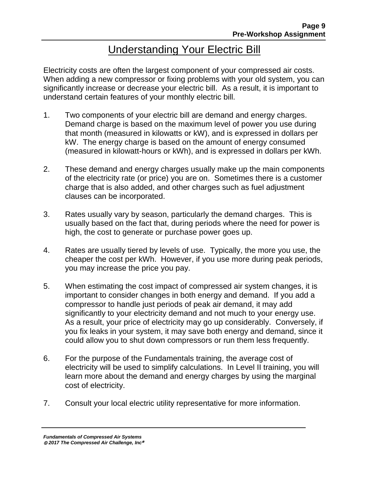# Understanding Your Electric Bill

Electricity costs are often the largest component of your compressed air costs. When adding a new compressor or fixing problems with your old system, you can significantly increase or decrease your electric bill. As a result, it is important to understand certain features of your monthly electric bill.

- 1. Two components of your electric bill are demand and energy charges. Demand charge is based on the maximum level of power you use during that month (measured in kilowatts or kW), and is expressed in dollars per kW. The energy charge is based on the amount of energy consumed (measured in kilowatt-hours or kWh), and is expressed in dollars per kWh.
- 2. These demand and energy charges usually make up the main components of the electricity rate (or price) you are on. Sometimes there is a customer charge that is also added, and other charges such as fuel adjustment clauses can be incorporated.
- 3. Rates usually vary by season, particularly the demand charges. This is usually based on the fact that, during periods where the need for power is high, the cost to generate or purchase power goes up.
- 4. Rates are usually tiered by levels of use. Typically, the more you use, the cheaper the cost per kWh. However, if you use more during peak periods, you may increase the price you pay.
- 5. When estimating the cost impact of compressed air system changes, it is important to consider changes in both energy and demand. If you add a compressor to handle just periods of peak air demand, it may add significantly to your electricity demand and not much to your energy use. As a result, your price of electricity may go up considerably. Conversely, if you fix leaks in your system, it may save both energy and demand, since it could allow you to shut down compressors or run them less frequently.
- 6. For the purpose of the Fundamentals training, the average cost of electricity will be used to simplify calculations. In Level II training, you will learn more about the demand and energy charges by using the marginal cost of electricity.
- 7. Consult your local electric utility representative for more information.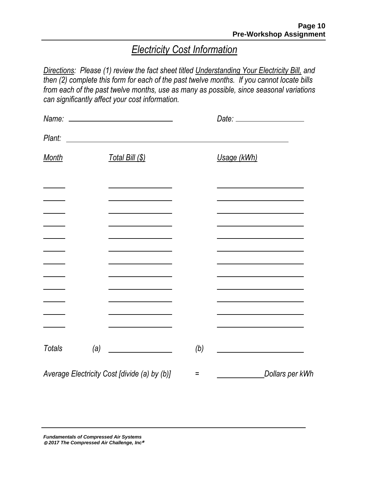### *Electricity Cost Information*

*Directions: Please (1) review the fact sheet titled Understanding Your Electricity Bill, and then (2) complete this form for each of the past twelve months. If you cannot locate bills from each of the past twelve months, use as many as possible, since seasonal variations can significantly affect your cost information.*

| Plant:        |     | <u> Alexandria de la contrada de la contrada de la contrada de la contrada de la contrada de la contrada de la c</u> |     |                 |  |
|---------------|-----|----------------------------------------------------------------------------------------------------------------------|-----|-----------------|--|
| <b>Month</b>  |     | Total Bill (\$)                                                                                                      |     | Usage (kWh)     |  |
|               |     |                                                                                                                      |     |                 |  |
|               |     |                                                                                                                      |     |                 |  |
|               |     |                                                                                                                      |     |                 |  |
|               |     |                                                                                                                      |     |                 |  |
|               |     |                                                                                                                      |     |                 |  |
|               |     |                                                                                                                      |     |                 |  |
| <b>Totals</b> | (a) |                                                                                                                      | (b) |                 |  |
|               |     | Average Electricity Cost [divide (a) by (b)]                                                                         | Ξ   | Dollars per kWh |  |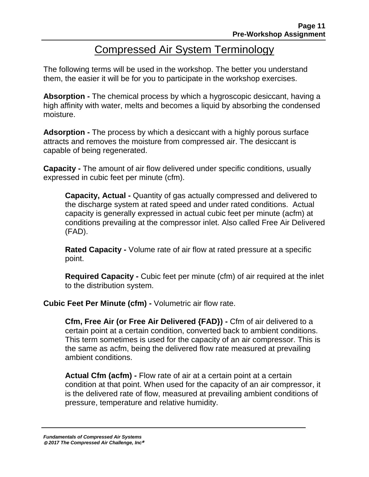## Compressed Air System Terminology

The following terms will be used in the workshop. The better you understand them, the easier it will be for you to participate in the workshop exercises.

**Absorption -** The chemical process by which a hygroscopic desiccant, having a high affinity with water, melts and becomes a liquid by absorbing the condensed moisture.

**Adsorption -** The process by which a desiccant with a highly porous surface attracts and removes the moisture from compressed air. The desiccant is capable of being regenerated.

**Capacity -** The amount of air flow delivered under specific conditions, usually expressed in cubic feet per minute (cfm).

**Capacity, Actual -** Quantity of gas actually compressed and delivered to the discharge system at rated speed and under rated conditions. Actual capacity is generally expressed in actual cubic feet per minute (acfm) at conditions prevailing at the compressor inlet. Also called Free Air Delivered (FAD).

**Rated Capacity -** Volume rate of air flow at rated pressure at a specific point.

**Required Capacity -** Cubic feet per minute (cfm) of air required at the inlet to the distribution system.

**Cubic Feet Per Minute (cfm) -** Volumetric air flow rate.

**Cfm, Free Air (or Free Air Delivered {FAD}) -** Cfm of air delivered to a certain point at a certain condition, converted back to ambient conditions. This term sometimes is used for the capacity of an air compressor. This is the same as acfm, being the delivered flow rate measured at prevailing ambient conditions.

**Actual Cfm (acfm) -** Flow rate of air at a certain point at a certain condition at that point. When used for the capacity of an air compressor, it is the delivered rate of flow, measured at prevailing ambient conditions of pressure, temperature and relative humidity.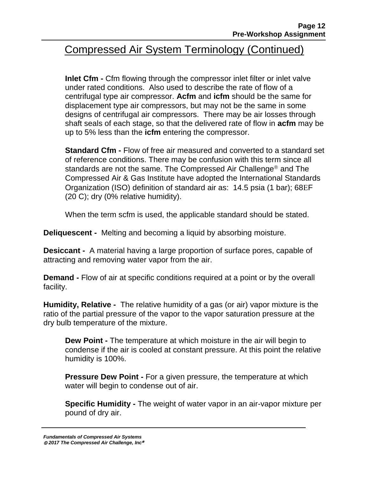## Compressed Air System Terminology (Continued)

**Inlet Cfm -** Cfm flowing through the compressor inlet filter or inlet valve under rated conditions. Also used to describe the rate of flow of a centrifugal type air compressor. **Acfm** and **icfm** should be the same for displacement type air compressors, but may not be the same in some designs of centrifugal air compressors. There may be air losses through shaft seals of each stage, so that the delivered rate of flow in **acfm** may be up to 5% less than the **icfm** entering the compressor.

**Standard Cfm -** Flow of free air measured and converted to a standard set of reference conditions. There may be confusion with this term since all standards are not the same. The Compressed Air Challenge<sup>®</sup> and The Compressed Air & Gas Institute have adopted the International Standards Organization (ISO) definition of standard air as: 14.5 psia (1 bar); 68F (20 C); dry (0% relative humidity).

When the term scfm is used, the applicable standard should be stated.

**Deliquescent -** Melting and becoming a liquid by absorbing moisture.

**Desiccant -** A material having a large proportion of surface pores, capable of attracting and removing water vapor from the air.

**Demand -** Flow of air at specific conditions required at a point or by the overall facility.

**Humidity, Relative -** The relative humidity of a gas (or air) vapor mixture is the ratio of the partial pressure of the vapor to the vapor saturation pressure at the dry bulb temperature of the mixture.

**Dew Point -** The temperature at which moisture in the air will begin to condense if the air is cooled at constant pressure. At this point the relative humidity is 100%.

**Pressure Dew Point -** For a given pressure, the temperature at which water will begin to condense out of air.

**Specific Humidity -** The weight of water vapor in an air-vapor mixture per pound of dry air.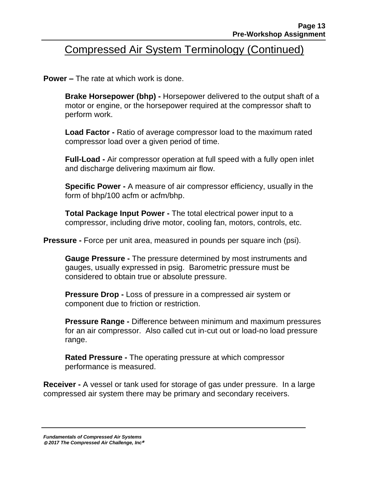## Compressed Air System Terminology (Continued)

**Power –** The rate at which work is done.

**Brake Horsepower (bhp) -** Horsepower delivered to the output shaft of a motor or engine, or the horsepower required at the compressor shaft to perform work.

**Load Factor -** Ratio of average compressor load to the maximum rated compressor load over a given period of time.

**Full-Load -** Air compressor operation at full speed with a fully open inlet and discharge delivering maximum air flow.

**Specific Power -** A measure of air compressor efficiency, usually in the form of bhp/100 acfm or acfm/bhp.

**Total Package Input Power -** The total electrical power input to a compressor, including drive motor, cooling fan, motors, controls, etc.

**Pressure -** Force per unit area, measured in pounds per square inch (psi).

**Gauge Pressure -** The pressure determined by most instruments and gauges, usually expressed in psig. Barometric pressure must be considered to obtain true or absolute pressure.

**Pressure Drop -** Loss of pressure in a compressed air system or component due to friction or restriction.

**Pressure Range -** Difference between minimum and maximum pressures for an air compressor. Also called cut in-cut out or load-no load pressure range.

**Rated Pressure -** The operating pressure at which compressor performance is measured.

**Receiver -** A vessel or tank used for storage of gas under pressure. In a large compressed air system there may be primary and secondary receivers.